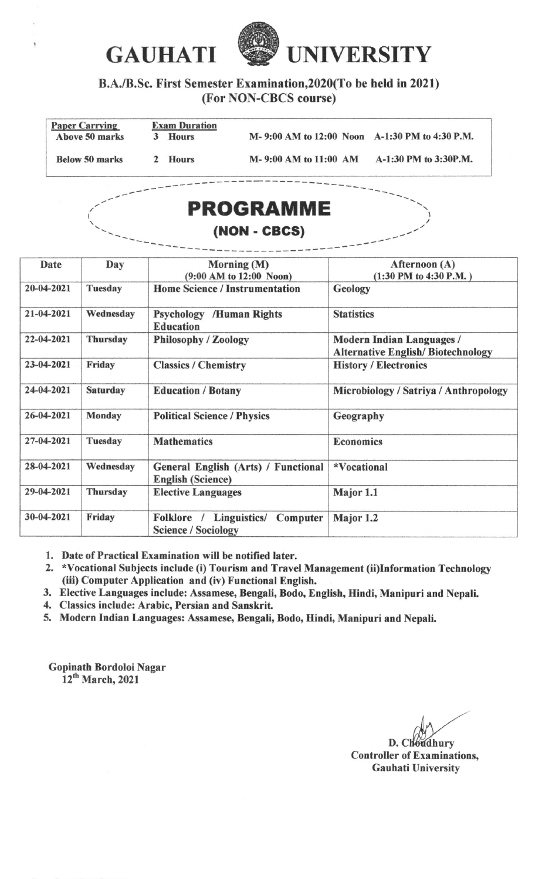

B.A./B.Sc. First Semester Examination,2O20(To be held in 2021) (For NON-CBCS course)

| <b>Paper Carrying</b><br>Above 50 marks |   | <b>Exam Duration</b><br><b>Hours</b> |                       | M-9:00 AM to 12:00 Noon A-1:30 PM to 4:30 P.M. |
|-----------------------------------------|---|--------------------------------------|-----------------------|------------------------------------------------|
| <b>Below 50 marks</b>                   | 2 | <b>Hours</b>                         | M-9:00 AM to 11:00 AM | A-1:30 PM to 3:30P.M.                          |
|                                         |   |                                      |                       |                                                |



| Date       | Day             | Morning (M)<br>(9:00 AM to 12:00 Noon)                               | Afternoon (A)<br>$(1:30$ PM to 4:30 P.M.)                                    |
|------------|-----------------|----------------------------------------------------------------------|------------------------------------------------------------------------------|
| 20-04-2021 | <b>Tuesday</b>  | <b>Home Science / Instrumentation</b>                                | Geology                                                                      |
| 21-04-2021 | Wednesday       | <b>Psychology /Human Rights</b><br><b>Education</b>                  | <b>Statistics</b>                                                            |
| 22-04-2021 | <b>Thursday</b> | <b>Philosophy / Zoology</b>                                          | <b>Modern Indian Languages /</b><br><b>Alternative English/Biotechnology</b> |
| 23-04-2021 | Friday          | <b>Classics / Chemistry</b>                                          | <b>History / Electronics</b>                                                 |
| 24-04-2021 | <b>Saturday</b> | <b>Education / Botany</b>                                            | Microbiology / Satriya / Anthropology                                        |
| 26-04-2021 | <b>Monday</b>   | <b>Political Science / Physics</b>                                   | Geography                                                                    |
| 27-04-2021 | Tuesday         | <b>Mathematics</b>                                                   | <b>Economics</b>                                                             |
| 28-04-2021 | Wednesday       | General English (Arts) / Functional<br><b>English (Science)</b>      | *Vocational                                                                  |
| 29-04-2021 | <b>Thursday</b> | <b>Elective Languages</b>                                            | Major 1.1                                                                    |
| 30-04-2021 | Friday          | Folklore /<br>Linguistics/<br>Computer<br><b>Science / Sociology</b> | Major 1.2                                                                    |

1. Date of Practical Examination will be notified later.<br>2. \*Vocational Subiects include (i) Tourism and Trave

- \*Vocstional Subjects include (i) Tourism and Travel Management (ii)Information Technology (iii) Computer Application and (iv) Functional English.
- 3. Elective Languages include: Assamese, Bengali, Bodo, English, Hindi, Manipuri and Nepali.
- 4. Classics include: Arabic, Persian and Sanskrit.
- 5. Modern Indian Languages: Assamese, Bengali, Bodo, Hindi, Manipuri and Nepali.

Gopinath Bordoloi Nagar 12<sup>th</sup> March, 2021

I

D. Choudhury

I

Controller of Exaninations, Gauhati Universitv